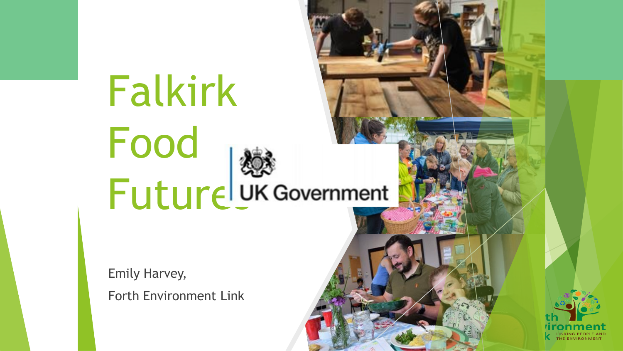# Falkirk Food Futurely

Emily Harvey, Forth Environment Link

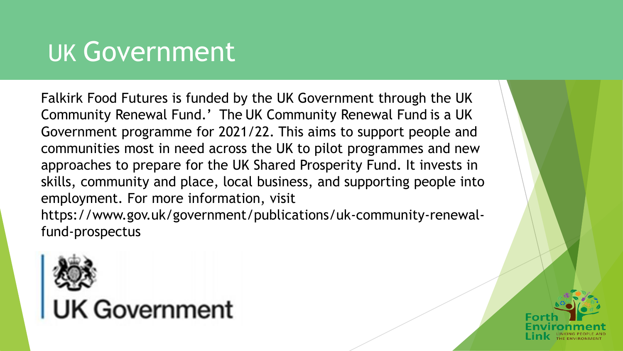# UK Government

Falkirk Food Futures is funded by the UK Government through the UK Community Renewal Fund.' The UK Community Renewal Fund is a UK Government programme for 2021/22. This aims to support people and communities most in need across the UK to pilot programmes and new approaches to prepare for the UK Shared Prosperity Fund. It invests in skills, community and place, local business, and supporting people into employment. For more information, visit https://www.gov.uk/government/publications/uk-community-renewal-

fund-prospectus



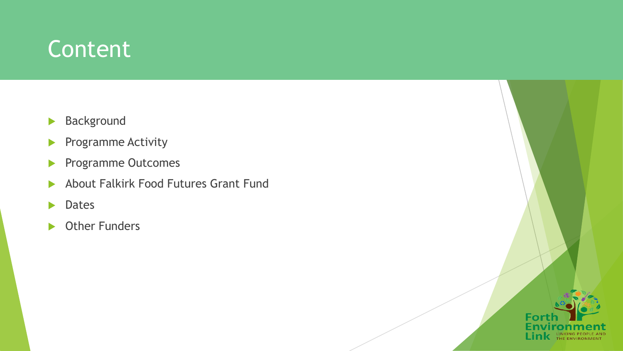### Content

- **Background**
- Programme Activity
- Programme Outcomes
- About Falkirk Food Futures Grant Fund
- **Dates**
- ▶ Other Funders

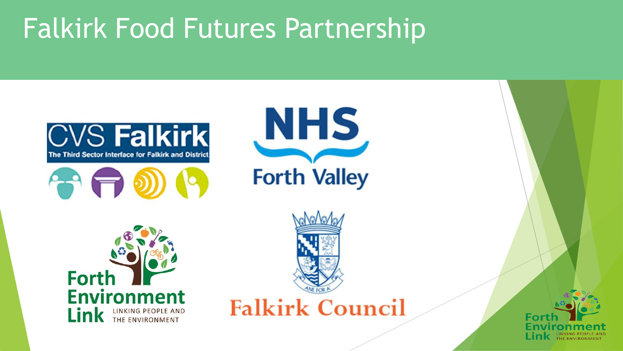# Falkirk Food Futures Partnership











**Falkirk Council** 

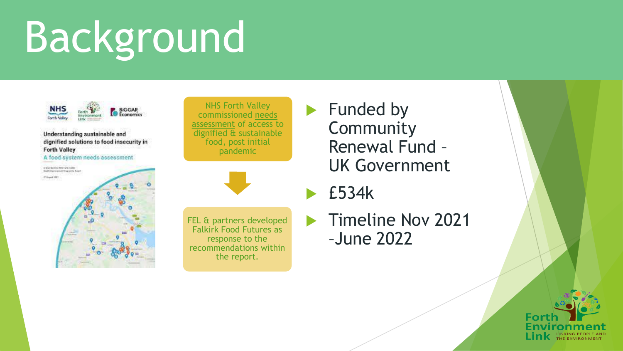# Background



Understanding sustainable and dignified solutions to food insecurity in **Forth Valley** A food system needs assessment

A final service with Land States malti-bigyolantuszt mag-airine filosof **REGISTER MAY** 

NHS Forth Valley [commissioned needs](https://nhsforthvalley.com/wp-content/uploads/2021/08/FV-Food-System-Needs-Assessment-FINAL-1-3.8.21-1.pdf)  assessment of access to dignified & sustainable food, post initial pandemic

FEL & partners developed Falkirk Food Futures as response to the recommendations within the report.

 Funded by Community Renewal Fund – UK Government

£534k

 Timeline Nov 2021 –June 2022

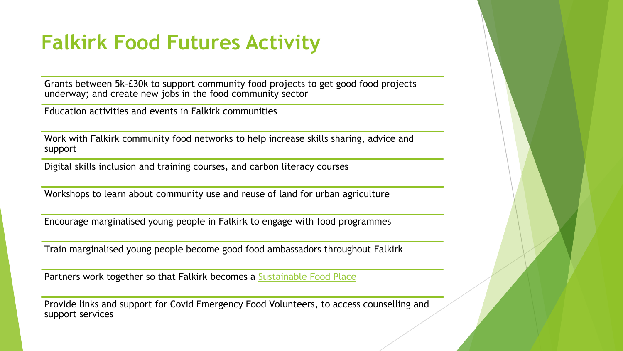#### **Falkirk Food Futures Activity**

Grants between 5k-£30k to support community food projects to get good food projects underway; and create new jobs in the food community sector

Education activities and events in Falkirk communities

Work with Falkirk community food networks to help increase skills sharing, advice and support

Digital skills inclusion and training courses, and carbon literacy courses

Workshops to learn about community use and reuse of land for urban agriculture

Encourage marginalised young people in Falkirk to engage with food programmes

Train marginalised young people become good food ambassadors throughout Falkirk

Partners work together so that Falkirk becomes a [Sustainable Food Place](https://www.sustainablefoodplaces.org/)

Provide links and support for Covid Emergency Food Volunteers, to access counselling and support services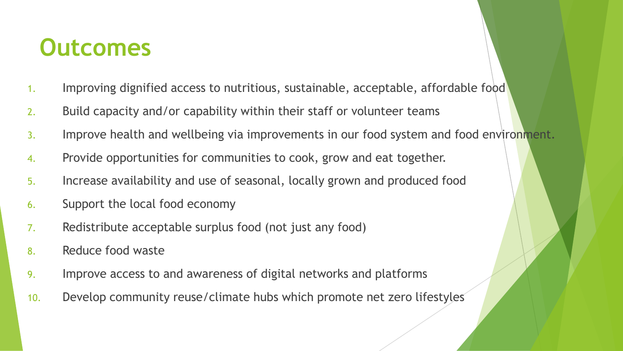## **Outcomes**

- 1. Improving dignified access to nutritious, sustainable, acceptable, affordable food
- 2. Build capacity and/or capability within their staff or volunteer teams
- 3. Improve health and wellbeing via improvements in our food system and food environment.
- 4. Provide opportunities for communities to cook, grow and eat together.
- 5. Increase availability and use of seasonal, locally grown and produced food
- 6. Support the local food economy
- 7. Redistribute acceptable surplus food (not just any food)
- 8. Reduce food waste
- 9. Improve access to and awareness of digital networks and platforms
- 10. Develop community reuse/climate hubs which promote net zero lifestyles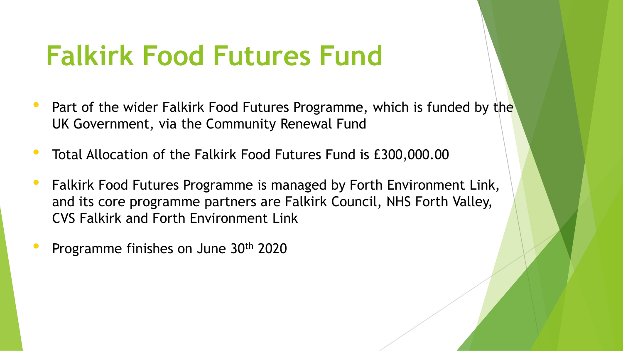# **Falkirk Food Futures Fund**

- Part of the wider Falkirk Food Futures Programme, which is funded by the UK Government, via the Community Renewal Fund
- Total Allocation of the Falkirk Food Futures Fund is £300,000.00
- Falkirk Food Futures Programme is managed by Forth Environment Link, and its core programme partners are Falkirk Council, NHS Forth Valley, CVS Falkirk and Forth Environment Link
- Programme finishes on June 30th <sup>2020</sup>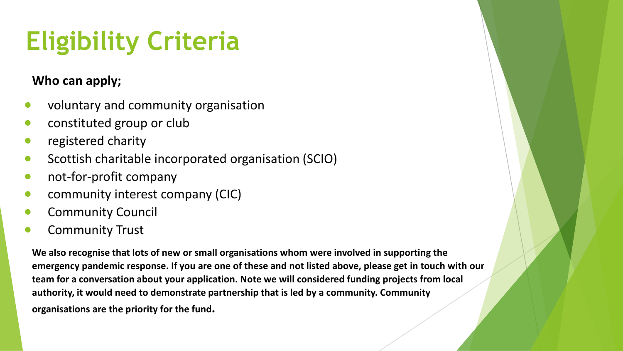# **Eligibility Criteria**

#### **Who can apply;**

- voluntary and community organisation
- constituted group or club
- registered charity
- Scottish charitable incorporated organisation (SCIO)
- not-for-profit company
- community interest company (CIC)
- Community Council
- Community Trust

**We also recognise that lots of new or small organisations whom were involved in supporting the emergency pandemic response. If you are one of these and not listed above, please get in touch with our team for a conversation about your application. Note we will considered funding projects from local authority, it would need to demonstrate partnership that is led by a community. Community organisations are the priority for the fund.**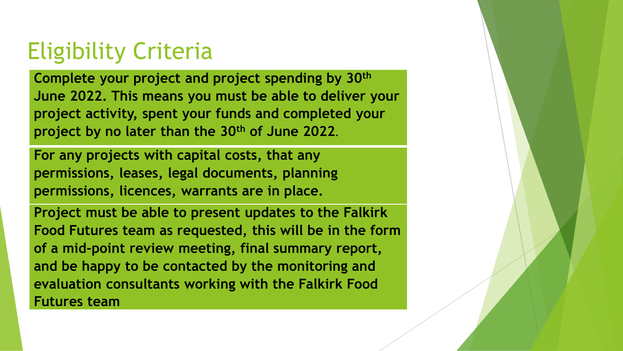## Eligibility Criteria

**Complete your project and project spending by 30th June 2022. This means you must be able to deliver your project activity, spent your funds and completed your project by no later than the 30th of June 2022.**

**For any projects with capital costs, that any permissions, leases, legal documents, planning permissions, licences, warrants are in place.**

**Project must be able to present updates to the Falkirk Food Futures team as requested, this will be in the form of a mid-point review meeting, final summary report, and be happy to be contacted by the monitoring and evaluation consultants working with the Falkirk Food Futures team**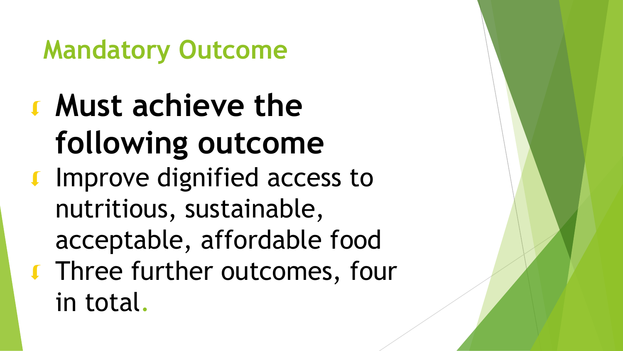# **Mandatory Outcome**

- **Must achieve the following outcome**
- I Improve dignified access to nutritious, sustainable, acceptable, affordable food **Three further outcomes, four** in total.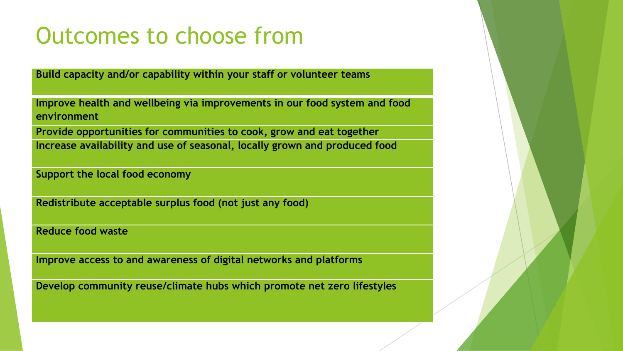#### Outcomes to choose from

**Build capacity and/or capability within your staff or volunteer teams** 

**Improve health and wellbeing via improvements in our food system and food environment**

**Provide opportunities for communities to cook, grow and eat together Increase availability and use of seasonal, locally grown and produced food**

**Support the local food economy**

**Redistribute acceptable surplus food (not just any food)**

**Reduce food waste**

**Improve access to and awareness of digital networks and platforms**

**Develop community reuse/climate hubs which promote net zero lifestyles**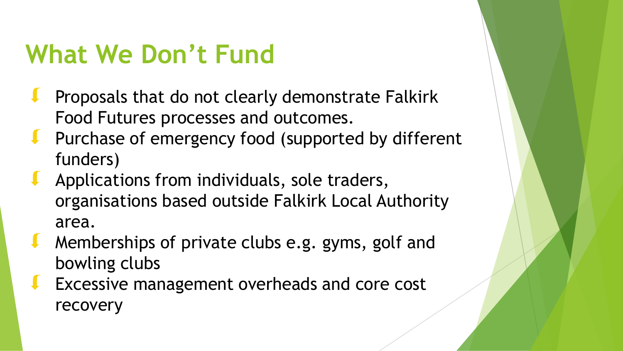# **What We Don't Fund**

- Proposals that do not clearly demonstrate Falkirk Food Futures processes and outcomes.
- Purchase of emergency food (supported by different funders)
- Applications from individuals, sole traders, organisations based outside Falkirk Local Authority area.
- Memberships of private clubs e.g. gyms, golf and bowling clubs
- Excessive management overheads and core cost recovery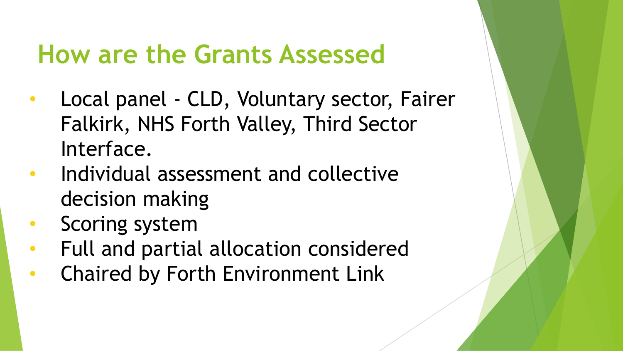# **How are the Grants Assessed**

- Local panel CLD, Voluntary sector, Fairer Falkirk, NHS Forth Valley, Third Sector Interface.
- Individual assessment and collective decision making
- Scoring system
- Full and partial allocation considered
- Chaired by Forth Environment Link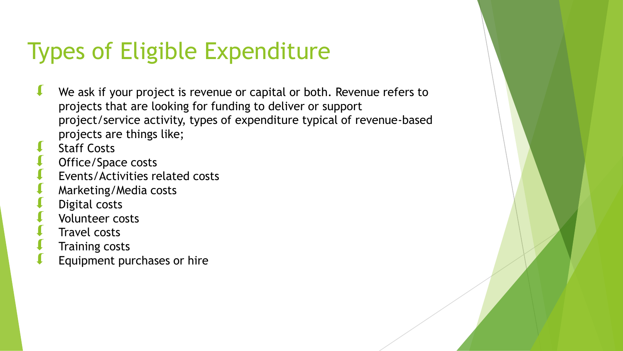# Types of Eligible Expenditure

- We ask if your project is revenue or capital or both. Revenue refers to projects that are looking for funding to deliver or support project/service activity, types of expenditure typical of revenue-based projects are things like;
- Staff Costs
- Office/Space costs
- Events/Activities related costs
- Marketing/Media costs
- Digital costs
- Volunteer costs
- Travel costs
- Training costs
- Equipment purchases or hire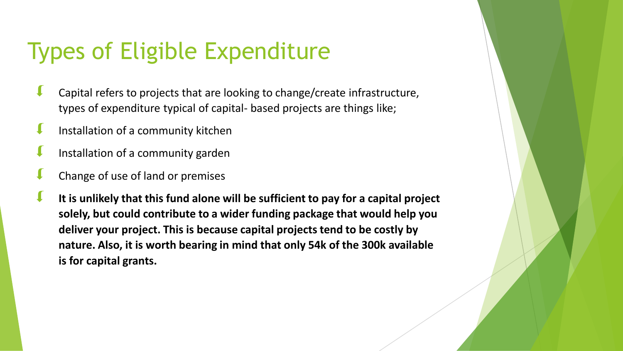# Types of Eligible Expenditure

- Capital refers to projects that are looking to change/create infrastructure, types of expenditure typical of capital- based projects are things like;
- Installation of a community kitchen
- Installation of a community garden
- Change of use of land or premises
- **It is unlikely that this fund alone will be sufficient to pay for a capital project solely, but could contribute to a wider funding package that would help you deliver your project. This is because capital projects tend to be costly by nature. Also, it is worth bearing in mind that only 54k of the 300k available is for capital grants.**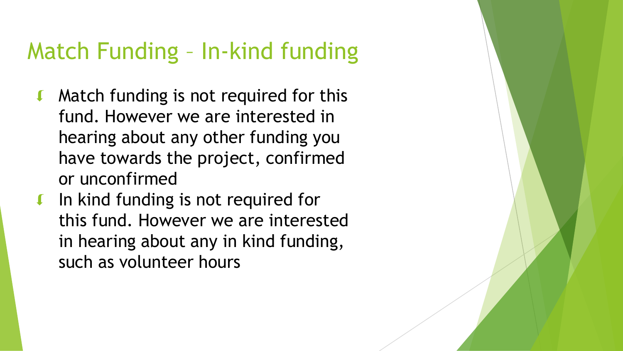# Match Funding – In-kind funding

- $\blacksquare$  Match funding is not required for this fund. However we are interested in hearing about any other funding you have towards the project, confirmed or unconfirmed
- I In kind funding is not required for this fund. However we are interested in hearing about any in kind funding, such as volunteer hours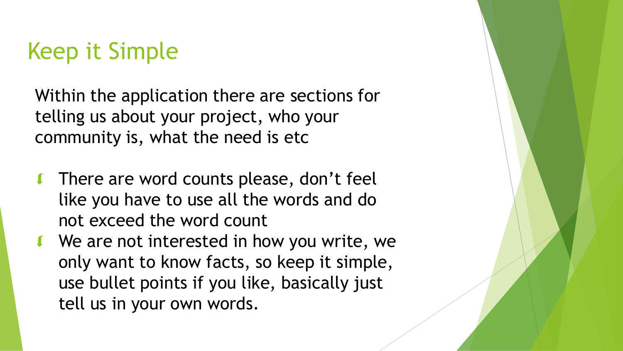## Keep it Simple

Within the application there are sections for telling us about your project, who your community is, what the need is etc

- **There are word counts please, don't feell** like you have to use all the words and do not exceed the word count
- We are not interested in how you write, we only want to know facts, so keep it simple, use bullet points if you like, basically just tell us in your own words.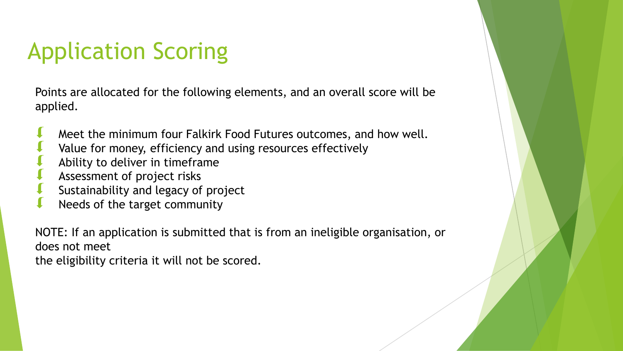# Application Scoring

Points are allocated for the following elements, and an overall score will be applied.

- Meet the minimum four Falkirk Food Futures outcomes, and how well.
- Value for money, efficiency and using resources effectively
- Ability to deliver in timeframe
- Assessment of project risks
- Sustainability and legacy of project
- Needs of the target community

NOTE: If an application is submitted that is from an ineligible organisation, or does not meet the eligibility criteria it will not be scored.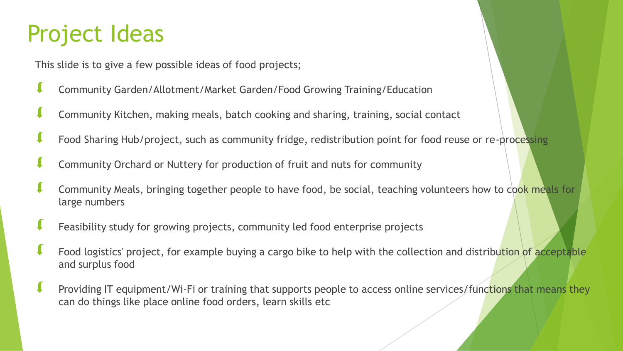#### Project Ideas

This slide is to give a few possible ideas of food projects;

- Community Garden/Allotment/Market Garden/Food Growing Training/Education
- Community Kitchen, making meals, batch cooking and sharing, training, social contact
- Food Sharing Hub/project, such as community fridge, redistribution point for food reuse or re-processing
- Community Orchard or Nuttery for production of fruit and nuts for community
- Community Meals, bringing together people to have food, be social, teaching volunteers how to cook meals for large numbers
- Feasibility study for growing projects, community led food enterprise projects
- Food logistics' project, for example buying a cargo bike to help with the collection and distribution of acceptable and surplus food
- Providing IT equipment/Wi-Fi or training that supports people to access online services/functions that means they can do things like place online food orders, learn skills etc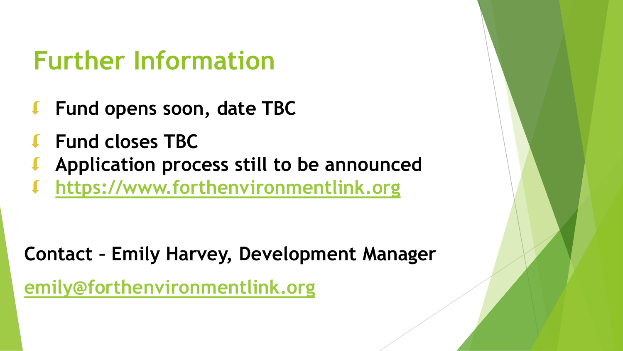# **Further Information**

- **Fund opens soon, date TBC**
- **Fund closes TBC**
- **Application process still to be announced**
- **[https://www.forthenvironmentlink.org](https://www.youthlinkscotland.org/)**

**Contact – Emily Harvey, Development Manager**

**[emily@forthenvironmentlink.org](mailto:emily@forthenvironmentlink.org)**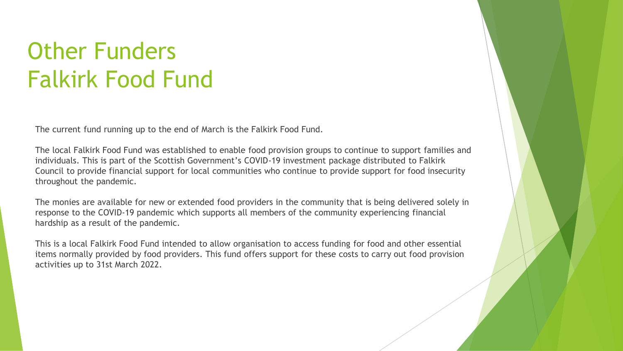# Other Funders Falkirk Food Fund

The current fund running up to the end of March is the Falkirk Food Fund.

The local Falkirk Food Fund was established to enable food provision groups to continue to support families and individuals. This is part of the Scottish Government's COVID-19 investment package distributed to Falkirk Council to provide financial support for local communities who continue to provide support for food insecurity throughout the pandemic.

The monies are available for new or extended food providers in the community that is being delivered solely in response to the COVID-19 pandemic which supports all members of the community experiencing financial hardship as a result of the pandemic.

This is a local Falkirk Food Fund intended to allow organisation to access funding for food and other essential items normally provided by food providers. This fund offers support for these costs to carry out food provision activities up to 31st March 2022.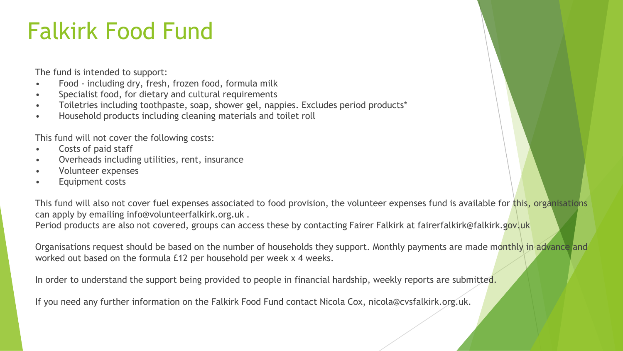# Falkirk Food Fund

The fund is intended to support:

- Food including dry, fresh, frozen food, formula milk
- Specialist food, for dietary and cultural requirements
- Toiletries including toothpaste, soap, shower gel, nappies. Excludes period products\*
- Household products including cleaning materials and toilet roll

This fund will not cover the following costs:

- Costs of paid staff
- Overheads including utilities, rent, insurance
- Volunteer expenses
- Equipment costs

This fund will also not cover fuel expenses associated to food provision, the volunteer expenses fund is available for this, organisations can apply by emailing info@volunteerfalkirk.org.uk .

Period products are also not covered, groups can access these by contacting Fairer Falkirk at fairerfalkirk@falkirk.gov.uk

Organisations request should be based on the number of households they support. Monthly payments are made monthly in advance and worked out based on the formula £12 per household per week x 4 weeks.

In order to understand the support being provided to people in financial hardship, weekly reports are submitted.

If you need any further information on the Falkirk Food Fund contact Nicola Cox, nicola@cvsfalkirk.org.uk.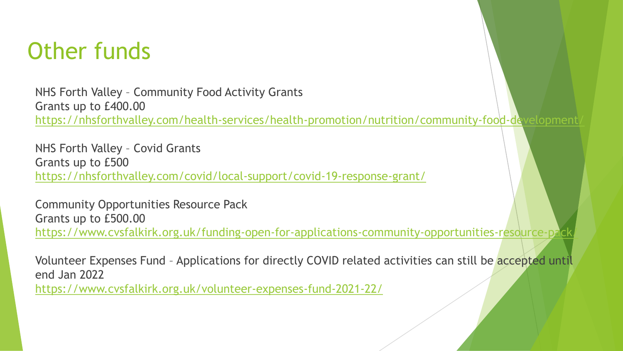## Other funds

NHS Forth Valley – Community Food Activity Grants Grants up to £400.00 https://nhsforthvalley.com/health-services/health-promotion/nutrition/community-food-development

NHS Forth Valley – Covid Grants Grants up to £500 <https://nhsforthvalley.com/covid/local-support/covid-19-response-grant/>

Community Opportunities Resource Pack Grants up to £500.00 https://www.cvsfalkirk.org.uk/funding-open-for-applications-community-opportunities-resource-pack

Volunteer Expenses Fund – Applications for directly COVID related activities can still be accepted until end Jan 2022

<https://www.cvsfalkirk.org.uk/volunteer-expenses-fund-2021-22/>